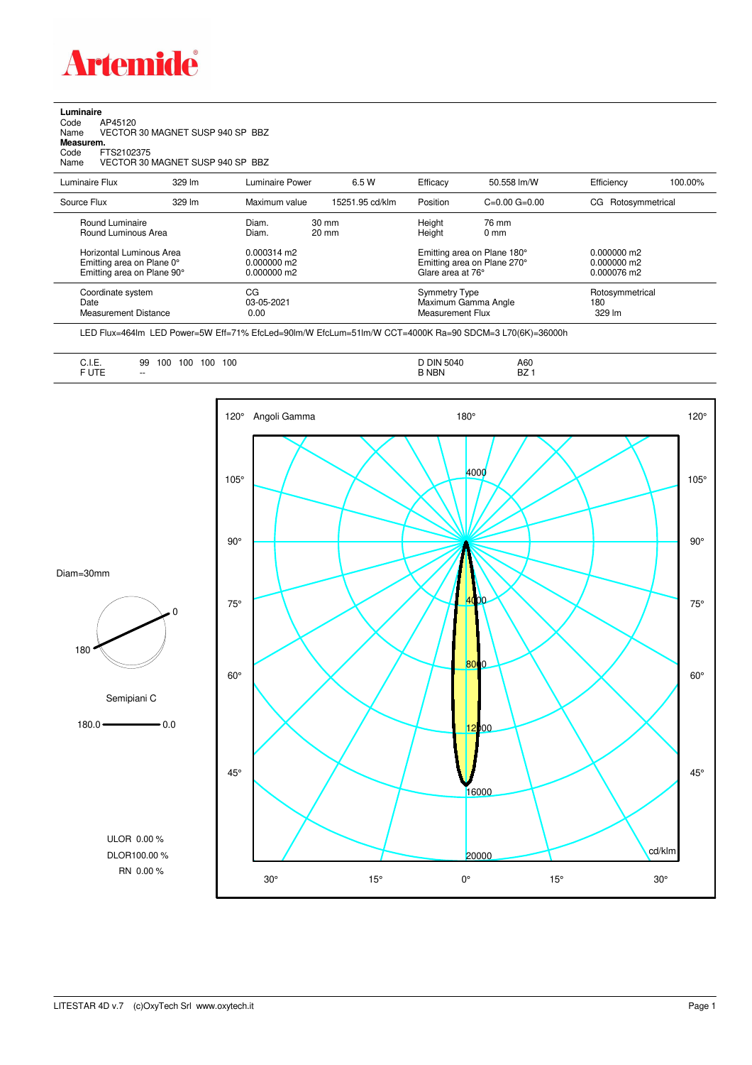

## **Luminaire**<br>Code /<br>Name \ Code AP45120 Name VECTOR 30 MAGNET SUSP 940 SP BBZ **Measurem.** Code FTS2102375 Name VECTOR 30 MAGNET SUSP 940 SP BBZ

| Luminaire Flux                                                                      | 329 lm | Luminaire Power                                        | 6.5 W                              | Efficacy                                 | 50.558 lm/W                                                                     | Efficiency                       | 100.00% |
|-------------------------------------------------------------------------------------|--------|--------------------------------------------------------|------------------------------------|------------------------------------------|---------------------------------------------------------------------------------|----------------------------------|---------|
| Source Flux                                                                         | 329 lm | Maximum value                                          | 15251.95 cd/klm                    | Position                                 | $C=0.00$ $G=0.00$                                                               | Rotosymmetrical<br>CG            |         |
| Round Luminaire<br>Round Luminous Area                                              |        | Diam.<br>Diam.                                         | $30 \text{ mm}$<br>$20 \text{ mm}$ | Height<br>Height                         | 76 mm<br>$0 \text{ mm}$                                                         |                                  |         |
| Horizontal Luminous Area<br>Emitting area on Plane 0°<br>Emitting area on Plane 90° |        | $0.000314 \text{ m}$<br>$0.000000$ m2<br>$0.000000$ m2 |                                    |                                          | Emitting area on Plane 180°<br>Emitting area on Plane 270°<br>Glare area at 76° |                                  |         |
| Coordinate system<br>Date<br><b>Measurement Distance</b>                            |        | CG<br>03-05-2021<br>0.00                               |                                    | <b>Symmetry Type</b><br>Measurement Flux | Maximum Gamma Angle                                                             | Rotosymmetrical<br>180<br>329 lm |         |

LED Flux=464lm LED Power=5W Eff=71% EfcLed=90lm/W EfcLum=51lm/W CCT=4000K Ra=90 SDCM=3 L70(6K)=36000h